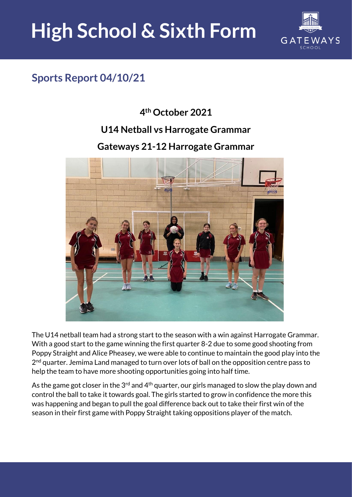# **High School & Sixth Form**



### **Sports Report 04/10/21**

#### **4 th October 2021**

#### **U14 Netball vs Harrogate Grammar**

#### **Gateways 21-12 Harrogate Grammar**



The U14 netball team had a strong start to the season with a win against Harrogate Grammar. With a good start to the game winning the first quarter 8-2 due to some good shooting from Poppy Straight and Alice Pheasey, we were able to continue to maintain the good play into the 2<sup>nd</sup> quarter. Jemima Land managed to turn over lots of ball on the opposition centre pass to help the team to have more shooting opportunities going into half time.

As the game got closer in the 3<sup>rd</sup> and 4<sup>th</sup> quarter, our girls managed to slow the play down and control the ball to take it towards goal. The girls started to grow in confidence the more this was happening and began to pull the goal difference back out to take their first win of the season in their first game with Poppy Straight taking oppositions player of the match.